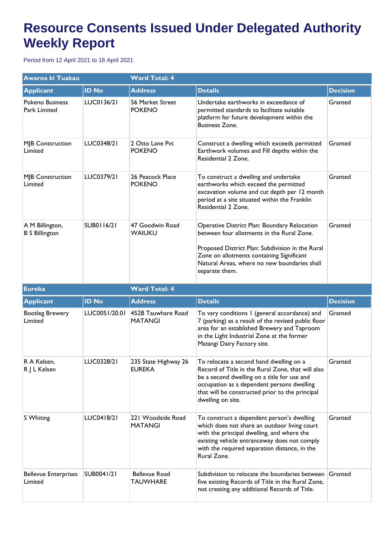## **Resource Consents Issued Under Delegated Authority Weekly Report**

Period from 12 April 2021 to 18 April 2021

| Awaroa ki Tuakau                         |               | <b>Ward Total: 4</b>                  |                                                                                                                                                                                                                                                                   |                 |  |
|------------------------------------------|---------------|---------------------------------------|-------------------------------------------------------------------------------------------------------------------------------------------------------------------------------------------------------------------------------------------------------------------|-----------------|--|
| <b>Applicant</b>                         | <b>ID No</b>  | <b>Address</b>                        | <b>Details</b>                                                                                                                                                                                                                                                    | <b>Decision</b> |  |
| <b>Pokeno Business</b><br>Park Limited   | LUC0136/21    | 56 Market Street<br><b>POKENO</b>     | Undertake earthworks in exceedance of<br>permitted standards to facilitate suitable<br>platform for future development within the<br><b>Business Zone.</b>                                                                                                        | Granted         |  |
| MJB Construction<br>Limited              | LUC0348/21    | 2 Otto Lane Pvt<br><b>POKENO</b>      | Construct a dwelling which exceeds permitted<br>Earthwork volumes and Fill depths within the<br>Residential 2 Zone.                                                                                                                                               | Granted         |  |
| <b>MJB Construction</b><br>Limited       | LUC0379/21    | 26 Peacock Place<br><b>POKENO</b>     | To construct a dwelling and undertake<br>earthworks which exceed the permitted<br>excavation volume and cut depth per 12 month<br>period at a site situated within the Franklin<br>Residential 2 Zone.                                                            | Granted         |  |
| A M Billington,<br><b>B S Billington</b> | SUB0116/21    | 47 Goodwin Road<br>WAIUKU             | Operative District Plan: Boundary Relocation<br>between four allotments in the Rural Zone.<br>Proposed District Plan: Subdivision in the Rural<br>Zone on allotments containing Significant<br>Natural Areas, where no new boundaries shall<br>separate them.     | Granted         |  |
| <b>Eureka</b>                            |               | <b>Ward Total: 4</b>                  |                                                                                                                                                                                                                                                                   |                 |  |
| <b>Applicant</b>                         | <b>ID No</b>  | <b>Address</b>                        | <b>Details</b>                                                                                                                                                                                                                                                    | <b>Decision</b> |  |
| <b>Bootleg Brewery</b><br>Limited        | LUC0051/20.01 | 452B Tauwhare Road<br><b>MATANGI</b>  | To vary conditions I (general accordance) and<br>7 (parking) as a result of the revised public floor<br>area for an established Brewery and Taproom<br>in the Light Industrial Zone at the former<br>Matangi Dairy Factory site.                                  | Granted         |  |
| R A Kelsen,<br>R J L Kelsen              | LUC0328/21    | 235 State Highway 26<br><b>EUREKA</b> | To relocate a second hand dwelling on a<br>Record of Title in the Rural Zone, that will also<br>be a second dwelling on a title for use and<br>occupation as a dependent persons dwelling<br>that will be constructed prior to the principal<br>dwelling on site. | Granted         |  |
| S Whiting                                |               |                                       |                                                                                                                                                                                                                                                                   |                 |  |
|                                          | LUC0418/21    | 221 Woodside Road<br><b>MATANGI</b>   | To construct a dependent person's dwelling<br>which does not share an outdoor living court<br>with the principal dwelling, and where the<br>existing vehicle entranceway does not comply<br>with the required separation distance, in the<br>Rural Zone.          | Granted         |  |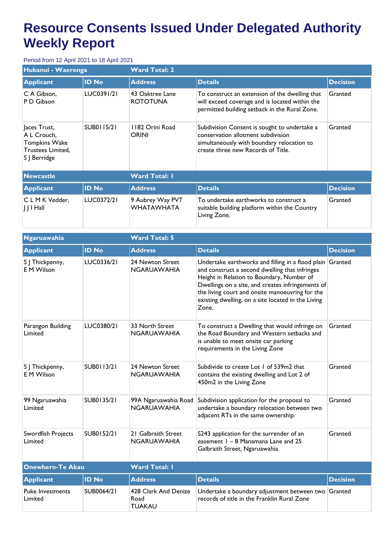## **Resource Consents Issued Under Delegated Authority Weekly Report**

## Period from 12 April 2021 to 18 April 2021

| Hukanui - Waerenga                                                                       |              | <b>Ward Total: 2</b>                  |                                                                                                                                                                        |                 |  |
|------------------------------------------------------------------------------------------|--------------|---------------------------------------|------------------------------------------------------------------------------------------------------------------------------------------------------------------------|-----------------|--|
| <b>Applicant</b>                                                                         | <b>ID No</b> | <b>Address</b>                        | <b>Details</b>                                                                                                                                                         | <b>Decision</b> |  |
| C A Gibson.<br>P D Gibson                                                                | LUC0391/21   | 43 Oaktree Lane<br><b>ROTOTUNA</b>    | To construct an extension of the dwelling that<br>will exceed coverage and is located within the<br>permitted building setback in the Rural Zone.                      | Granted         |  |
| Jaces Trust,<br>A L Crouch,<br><b>Tompkins Wake</b><br>Trustees Limited,<br>S J Berridge | SUB0115/21   | 1182 Orini Road<br><b>ORINI</b>       | Subdivision Consent is sought to undertake a<br>conservation allotment subdivision<br>simultaneously with boundary relocation to<br>create three new Records of Title. | Granted         |  |
| <b>Newcastle</b>                                                                         |              | <b>Ward Total: I</b>                  |                                                                                                                                                                        |                 |  |
| <b>Applicant</b>                                                                         | <b>ID No</b> | <b>Address</b>                        | <b>Details</b>                                                                                                                                                         | <b>Decision</b> |  |
| CLMK Vedder,<br>$J$ $J$ $H$ all                                                          | LUC0372/21   | 9 Aubrey Way PVT<br><b>WHATAWHATA</b> | To undertake earthworks to construct a<br>suitable building platform within the Country<br>Living Zone.                                                                | Granted         |  |

| <b>Ngaruawahia</b>                  |              | <b>Ward Total: 5</b>                          |                                                                                                                                                                                                                                                                                                                                 |                 |  |
|-------------------------------------|--------------|-----------------------------------------------|---------------------------------------------------------------------------------------------------------------------------------------------------------------------------------------------------------------------------------------------------------------------------------------------------------------------------------|-----------------|--|
| <b>Applicant</b>                    | <b>ID No</b> | <b>Address</b>                                | <b>Details</b>                                                                                                                                                                                                                                                                                                                  | <b>Decision</b> |  |
| S J Thickpenny,<br><b>EM Wilson</b> | LUC0336/21   | 24 Newton Street<br><b>NGARUAWAHIA</b>        | Undertake earthworks and filling in a flood plain Granted<br>and construct a second dwelling that infringes<br>Height in Relation to Boundary, Number of<br>Dwellings on a site, and creates infringements of<br>the living court and onsite manoeuvring for the<br>existing dwelling, on a site located in the Living<br>Zone. |                 |  |
| Parangon Building<br>Limited        | LUC0380/21   | 33 North Street<br><b>NGARUAWAHIA</b>         | To construct a Dwelling that would infringe on<br>the Road Boundary and Western setbacks and<br>is unable to meet onsite car parking<br>requirements in the Living Zone                                                                                                                                                         | Granted         |  |
| S J Thickpenny,<br><b>EM Wilson</b> | SUB0113/21   | 24 Newton Street<br><b>NGARUAWAHIA</b>        | Subdivide to create Lot 1 of 539m2 that<br>contains the existing dwelling and Lot 2 of<br>450m2 in the Living Zone                                                                                                                                                                                                              | Granted         |  |
| 99 Ngaruawahia<br>Limited           | SUB0135/21   | 99A Ngaruawahia Road<br><b>NGARUAWAHIA</b>    | Subdivision application for the proposal to<br>undertake a boundary relocation between two<br>adjacent RTs in the same ownership.                                                                                                                                                                                               | Granted         |  |
| Swordfish Projects<br>Limited       | SUB0152/21   | 21 Galbraith Street<br><b>NGARUAWAHIA</b>     | S243 application for the surrender of an<br>easement I - 8 Manamana Lane and 25<br>Galbraith Street, Ngaruawahia.                                                                                                                                                                                                               | Granted         |  |
| <b>Onewhero-Te Akau</b>             |              | <b>Ward Total: I</b>                          |                                                                                                                                                                                                                                                                                                                                 |                 |  |
| <b>Applicant</b>                    | <b>ID No</b> | <b>Address</b>                                | <b>Details</b>                                                                                                                                                                                                                                                                                                                  | <b>Decision</b> |  |
| <b>Puke Investments</b><br>Limited  | SUB0064/21   | 428 Clark And Denize<br>Road<br><b>TUAKAU</b> | Undertake a boundary adjustment between two Granted<br>records of title in the Franklin Rural Zone                                                                                                                                                                                                                              |                 |  |